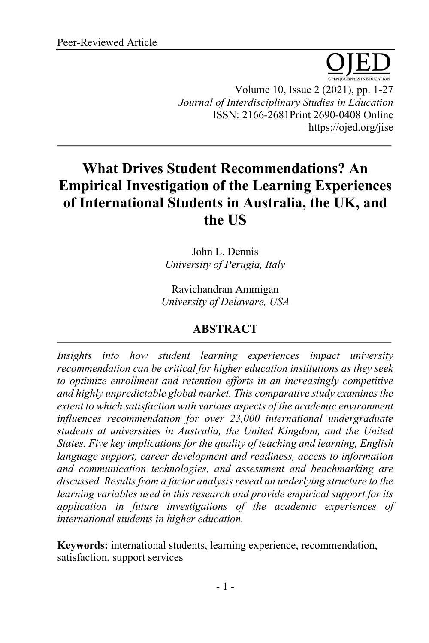Volume 10, Issue 2 (2021), pp. 1-27 *Journal of Interdisciplinary Studies in Education* ISSN: 2166-2681Print 2690-0408 Online https://ojed.org/jise

# **What Drives Student Recommendations? An Empirical Investigation of the Learning Experiences of International Students in Australia, the UK, and the US**

John L. Dennis *University of Perugia, Italy*

Ravichandran Ammigan *University of Delaware, USA*

## **ABSTRACT**

*Insights into how student learning experiences impact university recommendation can be critical for higher education institutions as they seek to optimize enrollment and retention efforts in an increasingly competitive and highly unpredictable global market. This comparative study examines the extent to which satisfaction with various aspects of the academic environment influences recommendation for over 23,000 international undergraduate students at universities in Australia, the United Kingdom, and the United States. Five key implications for the quality of teaching and learning, English language support, career development and readiness, access to information and communication technologies, and assessment and benchmarking are discussed. Results from a factor analysis reveal an underlying structure to the learning variables used in this research and provide empirical support for its application in future investigations of the academic experiences of international students in higher education.*

**Keywords:** international students, learning experience, recommendation, satisfaction, support services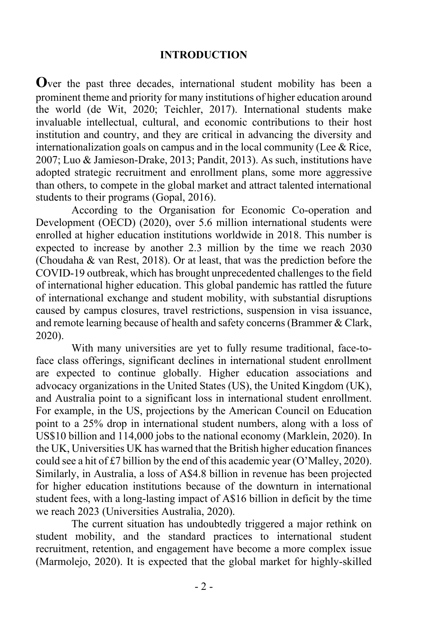## **INTRODUCTION**

**O**ver the past three decades, international student mobility has been a prominent theme and priority for many institutions of higher education around the world (de Wit, 2020; Teichler, 2017). International students make invaluable intellectual, cultural, and economic contributions to their host institution and country, and they are critical in advancing the diversity and internationalization goals on campus and in the local community (Lee  $\&$  Rice, 2007; Luo & Jamieson-Drake, 2013; Pandit, 2013). As such, institutions have adopted strategic recruitment and enrollment plans, some more aggressive than others, to compete in the global market and attract talented international students to their programs (Gopal, 2016).

According to the Organisation for Economic Co-operation and Development (OECD) (2020), over 5.6 million international students were enrolled at higher education institutions worldwide in 2018. This number is expected to increase by another 2.3 million by the time we reach 2030 (Choudaha & van Rest, 2018). Or at least, that was the prediction before the COVID-19 outbreak, which has brought unprecedented challenges to the field of international higher education. This global pandemic has rattled the future of international exchange and student mobility, with substantial disruptions caused by campus closures, travel restrictions, suspension in visa issuance, and remote learning because of health and safety concerns (Brammer & Clark, 2020).

With many universities are yet to fully resume traditional, face-toface class offerings, significant declines in international student enrollment are expected to continue globally. Higher education associations and advocacy organizations in the United States (US), the United Kingdom (UK), and Australia point to a significant loss in international student enrollment. For example, in the US, projections by the American Council on Education point to a 25% drop in international student numbers, along with a loss of US\$10 billion and 114,000 jobs to the national economy (Marklein, 2020). In the UK, Universities UK has warned that the British higher education finances could see a hit of £7 billion by the end of this academic year (O'Malley, 2020). Similarly, in Australia, a loss of A\$4.8 billion in revenue has been projected for higher education institutions because of the downturn in international student fees, with a long-lasting impact of A\$16 billion in deficit by the time we reach 2023 (Universities Australia, 2020).

The current situation has undoubtedly triggered a major rethink on student mobility, and the standard practices to international student recruitment, retention, and engagement have become a more complex issue (Marmolejo, 2020). It is expected that the global market for highly-skilled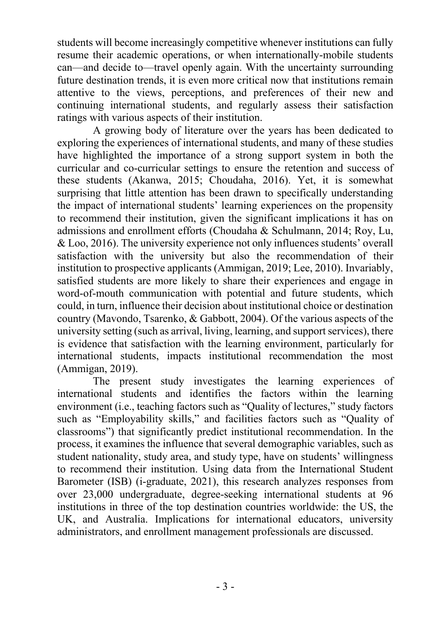students will become increasingly competitive whenever institutions can fully resume their academic operations, or when internationally-mobile students can—and decide to—travel openly again. With the uncertainty surrounding future destination trends, it is even more critical now that institutions remain attentive to the views, perceptions, and preferences of their new and continuing international students, and regularly assess their satisfaction ratings with various aspects of their institution.

A growing body of literature over the years has been dedicated to exploring the experiences of international students, and many of these studies have highlighted the importance of a strong support system in both the curricular and co-curricular settings to ensure the retention and success of these students (Akanwa, 2015; Choudaha, 2016). Yet, it is somewhat surprising that little attention has been drawn to specifically understanding the impact of international students' learning experiences on the propensity to recommend their institution, given the significant implications it has on admissions and enrollment efforts (Choudaha & Schulmann, 2014; Roy, Lu, & Loo, 2016). The university experience not only influences students' overall satisfaction with the university but also the recommendation of their institution to prospective applicants (Ammigan, 2019; Lee, 2010). Invariably, satisfied students are more likely to share their experiences and engage in word-of-mouth communication with potential and future students, which could, in turn, influence their decision about institutional choice or destination country (Mavondo, Tsarenko, & Gabbott, 2004). Of the various aspects of the university setting (such as arrival, living, learning, and support services), there is evidence that satisfaction with the learning environment, particularly for international students, impacts institutional recommendation the most (Ammigan, 2019).

The present study investigates the learning experiences of international students and identifies the factors within the learning environment (i.e., teaching factors such as "Quality of lectures," study factors such as "Employability skills," and facilities factors such as "Quality of classrooms") that significantly predict institutional recommendation. In the process, it examines the influence that several demographic variables, such as student nationality, study area, and study type, have on students' willingness to recommend their institution. Using data from the International Student Barometer (ISB) (i-graduate, 2021), this research analyzes responses from over 23,000 undergraduate, degree-seeking international students at 96 institutions in three of the top destination countries worldwide: the US, the UK, and Australia. Implications for international educators, university administrators, and enrollment management professionals are discussed.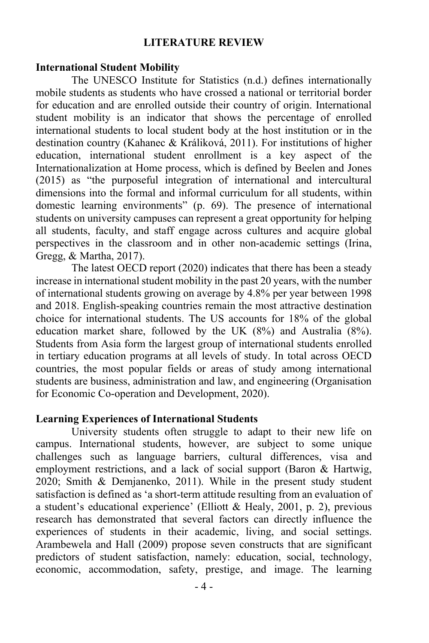## **LITERATURE REVIEW**

## **International Student Mobility**

The UNESCO Institute for Statistics (n.d.) defines internationally mobile students as students who have crossed a national or territorial border for education and are enrolled outside their country of origin. International student mobility is an indicator that shows the percentage of enrolled international students to local student body at the host institution or in the destination country (Kahanec & Králiková, 2011). For institutions of higher education, international student enrollment is a key aspect of the Internationalization at Home process, which is defined by Beelen and Jones (2015) as "the purposeful integration of international and intercultural dimensions into the formal and informal curriculum for all students, within domestic learning environments" (p. 69). The presence of international students on university campuses can represent a great opportunity for helping all students, faculty, and staff engage across cultures and acquire global perspectives in the classroom and in other non-academic settings (Irina, Gregg, & Martha, 2017).

The latest OECD report (2020) indicates that there has been a steady increase in international student mobility in the past 20 years, with the number of international students growing on average by 4.8% per year between 1998 and 2018. English-speaking countries remain the most attractive destination choice for international students. The US accounts for 18% of the global education market share, followed by the UK (8%) and Australia (8%). Students from Asia form the largest group of international students enrolled in tertiary education programs at all levels of study. In total across OECD countries, the most popular fields or areas of study among international students are business, administration and law, and engineering (Organisation for Economic Co-operation and Development, 2020).

### **Learning Experiences of International Students**

University students often struggle to adapt to their new life on campus. International students, however, are subject to some unique challenges such as language barriers, cultural differences, visa and employment restrictions, and a lack of social support (Baron & Hartwig, 2020; Smith & Demjanenko, 2011). While in the present study student satisfaction is defined as 'a short-term attitude resulting from an evaluation of a student's educational experience' (Elliott & Healy, 2001, p. 2), previous research has demonstrated that several factors can directly influence the experiences of students in their academic, living, and social settings. Arambewela and Hall (2009) propose seven constructs that are significant predictors of student satisfaction, namely: education, social, technology, economic, accommodation, safety, prestige, and image. The learning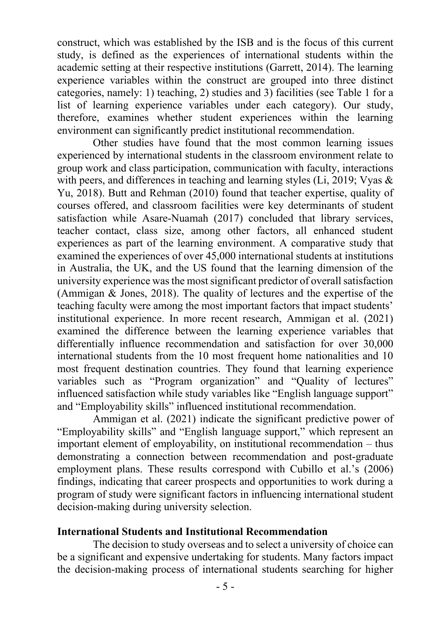construct, which was established by the ISB and is the focus of this current study, is defined as the experiences of international students within the academic setting at their respective institutions (Garrett, 2014). The learning experience variables within the construct are grouped into three distinct categories, namely: 1) teaching, 2) studies and 3) facilities (see Table 1 for a list of learning experience variables under each category). Our study, therefore, examines whether student experiences within the learning environment can significantly predict institutional recommendation.

Other studies have found that the most common learning issues experienced by international students in the classroom environment relate to group work and class participation, communication with faculty, interactions with peers, and differences in teaching and learning styles (Li, 2019; Vyas & Yu, 2018). Butt and Rehman (2010) found that teacher expertise, quality of courses offered, and classroom facilities were key determinants of student satisfaction while Asare-Nuamah (2017) concluded that library services, teacher contact, class size, among other factors, all enhanced student experiences as part of the learning environment. A comparative study that examined the experiences of over 45,000 international students at institutions in Australia, the UK, and the US found that the learning dimension of the university experience was the most significant predictor of overall satisfaction (Ammigan & Jones, 2018). The quality of lectures and the expertise of the teaching faculty were among the most important factors that impact students' institutional experience. In more recent research, Ammigan et al. (2021) examined the difference between the learning experience variables that differentially influence recommendation and satisfaction for over 30,000 international students from the 10 most frequent home nationalities and 10 most frequent destination countries. They found that learning experience variables such as "Program organization" and "Quality of lectures" influenced satisfaction while study variables like "English language support" and "Employability skills" influenced institutional recommendation.

Ammigan et al. (2021) indicate the significant predictive power of "Employability skills" and "English language support," which represent an important element of employability, on institutional recommendation – thus demonstrating a connection between recommendation and post-graduate employment plans. These results correspond with Cubillo et al.'s (2006) findings, indicating that career prospects and opportunities to work during a program of study were significant factors in influencing international student decision-making during university selection.

### **International Students and Institutional Recommendation**

The decision to study overseas and to select a university of choice can be a significant and expensive undertaking for students. Many factors impact the decision-making process of international students searching for higher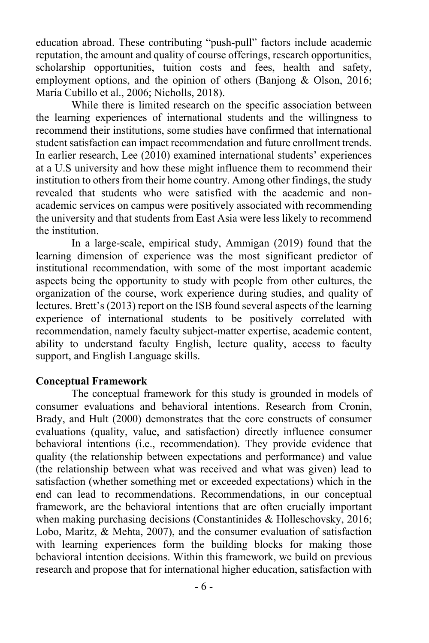education abroad. These contributing "push-pull" factors include academic reputation, the amount and quality of course offerings, research opportunities, scholarship opportunities, tuition costs and fees, health and safety, employment options, and the opinion of others (Banjong & Olson, 2016; María Cubillo et al., 2006; Nicholls, 2018).

While there is limited research on the specific association between the learning experiences of international students and the willingness to recommend their institutions, some studies have confirmed that international student satisfaction can impact recommendation and future enrollment trends. In earlier research, Lee (2010) examined international students' experiences at a U.S university and how these might influence them to recommend their institution to others from their home country. Among other findings, the study revealed that students who were satisfied with the academic and nonacademic services on campus were positively associated with recommending the university and that students from East Asia were less likely to recommend the institution.

In a large-scale, empirical study, Ammigan (2019) found that the learning dimension of experience was the most significant predictor of institutional recommendation, with some of the most important academic aspects being the opportunity to study with people from other cultures, the organization of the course, work experience during studies, and quality of lectures. Brett's (2013) report on the ISB found several aspects of the learning experience of international students to be positively correlated with recommendation, namely faculty subject-matter expertise, academic content, ability to understand faculty English, lecture quality, access to faculty support, and English Language skills.

### **Conceptual Framework**

The conceptual framework for this study is grounded in models of consumer evaluations and behavioral intentions. Research from Cronin, Brady, and Hult (2000) demonstrates that the core constructs of consumer evaluations (quality, value, and satisfaction) directly influence consumer behavioral intentions (i.e., recommendation). They provide evidence that quality (the relationship between expectations and performance) and value (the relationship between what was received and what was given) lead to satisfaction (whether something met or exceeded expectations) which in the end can lead to recommendations. Recommendations, in our conceptual framework, are the behavioral intentions that are often crucially important when making purchasing decisions (Constantinides & Holleschovsky, 2016; Lobo, Maritz, & Mehta, 2007), and the consumer evaluation of satisfaction with learning experiences form the building blocks for making those behavioral intention decisions. Within this framework, we build on previous research and propose that for international higher education, satisfaction with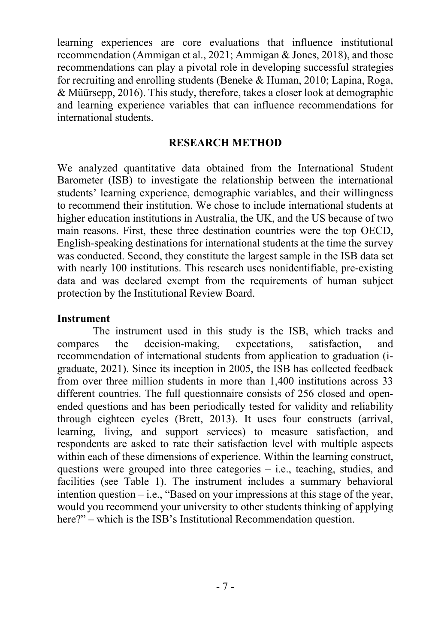learning experiences are core evaluations that influence institutional recommendation (Ammigan et al., 2021; Ammigan & Jones, 2018), and those recommendations can play a pivotal role in developing successful strategies for recruiting and enrolling students (Beneke & Human, 2010; Lapina, Roga, & Müürsepp, 2016). This study, therefore, takes a closer look at demographic and learning experience variables that can influence recommendations for international students.

## **RESEARCH METHOD**

We analyzed quantitative data obtained from the International Student Barometer (ISB) to investigate the relationship between the international students' learning experience, demographic variables, and their willingness to recommend their institution. We chose to include international students at higher education institutions in Australia, the UK, and the US because of two main reasons. First, these three destination countries were the top OECD, English-speaking destinations for international students at the time the survey was conducted. Second, they constitute the largest sample in the ISB data set with nearly 100 institutions. This research uses nonidentifiable, pre-existing data and was declared exempt from the requirements of human subject protection by the Institutional Review Board.

## **Instrument**

The instrument used in this study is the ISB, which tracks and compares the decision-making, expectations, satisfaction, and recommendation of international students from application to graduation (igraduate, 2021). Since its inception in 2005, the ISB has collected feedback from over three million students in more than 1,400 institutions across 33 different countries. The full questionnaire consists of 256 closed and openended questions and has been periodically tested for validity and reliability through eighteen cycles (Brett, 2013). It uses four constructs (arrival, learning, living, and support services) to measure satisfaction, and respondents are asked to rate their satisfaction level with multiple aspects within each of these dimensions of experience. Within the learning construct, questions were grouped into three categories – i.e., teaching, studies, and facilities (see Table 1). The instrument includes a summary behavioral intention question – i.e., "Based on your impressions at this stage of the year, would you recommend your university to other students thinking of applying here?" – which is the ISB's Institutional Recommendation question.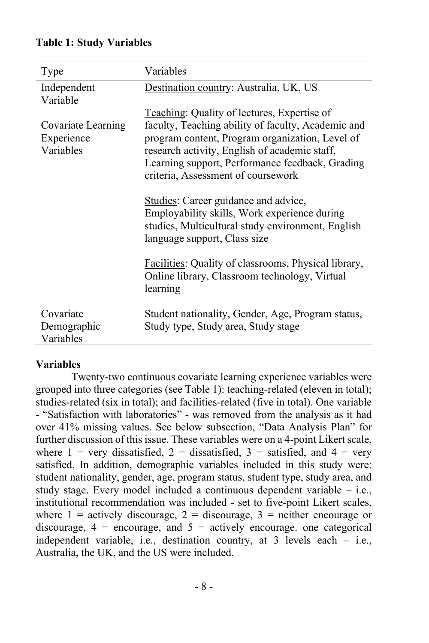## **Table 1: Study Variables**

| Type                                          | Variables                                                                                                                                                                                                                                                                                      |
|-----------------------------------------------|------------------------------------------------------------------------------------------------------------------------------------------------------------------------------------------------------------------------------------------------------------------------------------------------|
| Independent<br>Variable                       | Destination country: Australia, UK, US                                                                                                                                                                                                                                                         |
| Covariate Learning<br>Experience<br>Variables | Teaching: Quality of lectures, Expertise of<br>faculty, Teaching ability of faculty, Academic and<br>program content, Program organization, Level of<br>research activity, English of academic staff,<br>Learning support, Performance feedback, Grading<br>criteria, Assessment of coursework |
|                                               | Studies: Career guidance and advice,<br>Employability skills, Work experience during<br>studies, Multicultural study environment, English<br>language support, Class size                                                                                                                      |
|                                               | Facilities: Quality of classrooms, Physical library,<br>Online library, Classroom technology, Virtual<br>learning                                                                                                                                                                              |
| Covariate<br>Demographic<br>Variables         | Student nationality, Gender, Age, Program status,<br>Study type, Study area, Study stage                                                                                                                                                                                                       |

## **Variables**

Twenty-two continuous covariate learning experience variables were grouped into three categories (see Table 1): teaching-related (eleven in total); studies-related (six in total); and facilities-related (five in total). One variable - "Satisfaction with laboratories" - was removed from the analysis as it had over 41% missing values. See below subsection, "Data Analysis Plan" for further discussion of this issue. These variables were on a 4-point Likert scale, where  $1$  = very dissatisfied,  $2$  = dissatisfied,  $3$  = satisfied, and  $4$  = very satisfied. In addition, demographic variables included in this study were: student nationality, gender, age, program status, student type, study area, and study stage. Every model included a continuous dependent variable – i.e., institutional recommendation was included - set to five-point Likert scales, where  $1 =$  actively discourage,  $2 =$  discourage,  $3 =$  neither encourage or discourage,  $4$  = encourage, and  $5$  = actively encourage. one categorical independent variable, i.e., destination country, at 3 levels each – i.e., Australia, the UK, and the US were included.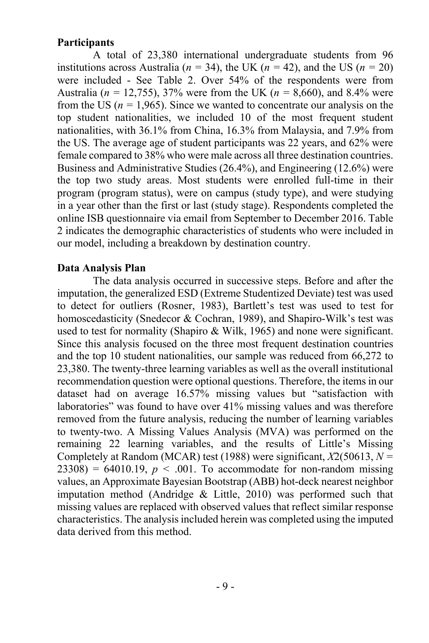## **Participants**

A total of 23,380 international undergraduate students from 96 institutions across Australia ( $n = 34$ ), the UK ( $n = 42$ ), and the US ( $n = 20$ ) were included - See Table 2. Over 54% of the respondents were from Australia (*n =* 12,755), 37% were from the UK (*n =* 8,660), and 8.4% were from the US ( $n = 1.965$ ). Since we wanted to concentrate our analysis on the top student nationalities, we included 10 of the most frequent student nationalities, with 36.1% from China, 16.3% from Malaysia, and 7.9% from the US. The average age of student participants was 22 years, and 62% were female compared to 38% who were male across all three destination countries. Business and Administrative Studies (26.4%), and Engineering (12.6%) were the top two study areas. Most students were enrolled full-time in their program (program status), were on campus (study type), and were studying in a year other than the first or last (study stage). Respondents completed the online ISB questionnaire via email from September to December 2016. Table 2 indicates the demographic characteristics of students who were included in our model, including a breakdown by destination country.

## **Data Analysis Plan**

The data analysis occurred in successive steps. Before and after the imputation, the generalized ESD (Extreme Studentized Deviate) test was used to detect for outliers (Rosner, 1983), Bartlett's test was used to test for homoscedasticity (Snedecor & Cochran, 1989), and Shapiro-Wilk's test was used to test for normality (Shapiro & Wilk, 1965) and none were significant. Since this analysis focused on the three most frequent destination countries and the top 10 student nationalities, our sample was reduced from 66,272 to 23,380. The twenty-three learning variables as well as the overall institutional recommendation question were optional questions. Therefore, the items in our dataset had on average 16.57% missing values but "satisfaction with laboratories" was found to have over 41% missing values and was therefore removed from the future analysis, reducing the number of learning variables to twenty-two. A Missing Values Analysis (MVA) was performed on the remaining 22 learning variables, and the results of Little's Missing Completely at Random (MCAR) test (1988) were significant, *X*2(50613, *N =*  $23308$ ) = 64010.19,  $p < .001$ . To accommodate for non-random missing values, an Approximate Bayesian Bootstrap (ABB) hot-deck nearest neighbor imputation method (Andridge & Little, 2010) was performed such that missing values are replaced with observed values that reflect similar response characteristics. The analysis included herein was completed using the imputed data derived from this method.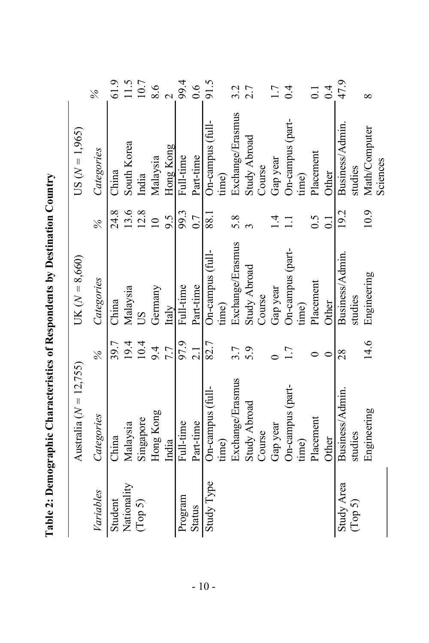|               | Australia ( $N = 12,755$ ) |               | UK $(N = 8,660)$    |                  | $US(N = 1,965)$  |                  |
|---------------|----------------------------|---------------|---------------------|------------------|------------------|------------------|
| Variables     | Categories                 | $\frac{2}{6}$ | Categories          | $\frac{3}{6}$    | Categories       | $\%$             |
| Student       | China                      | 39.7          | China               | 24.8             | China            | 61.9             |
| Nationality   | Malaysia                   | 19.4          | Malaysia            | 13.6             | South Korea      | 11.5             |
| (Top 5)       | Singapore                  | 10.4          | SU                  | 12.8             | India            | 10.7             |
|               | Hong Kong                  | 9.4           | Germany             | $\subseteq$      | Malaysia         | 8.6              |
|               | India                      | 7.7           | Italy               | 9.5              | Hong Kong        |                  |
| Program       | Full-time                  | 97.9          | Full-time           | 99.3             | Full-time        | 99.4             |
| <b>Status</b> | Part-time                  | 2.1           | Part-time           | 0.7              | Part-time        | $\frac{6}{1}$    |
| Study Type    | On-campus (full-           | 82.7          | On-campus (full-    | 88.1             | On-campus (full- | 91.5             |
|               | time)                      |               | time)               |                  | time)            |                  |
|               | Exchange/Erasmus           | 3.7           | Exchange/Erasmus    | 5.8              | Exchange/Erasmus | 3.2              |
|               | Study Abroad               | 5.9           | <b>Study Abroad</b> |                  | Study Abroad     | 2.7              |
|               | Course                     |               | Course              |                  | Course           |                  |
|               | Gap year                   |               | Gap year            | $\overline{4}$   | Gap year         | 1.7              |
|               | On-campus (part-           | 1.7           | On-campus (part-    | $\Xi$            | On-campus (part- | 0.4              |
|               | time)                      |               | time)               |                  | time)            |                  |
|               | Placement                  |               | Placement           | 0.5              | Placement        | $\overline{0}$ : |
|               | Other                      |               | Other               | $\overline{0}$ : | Other            | 0.4              |
| Study Area    | Business/Admin.            | 28            | Business/Admin      | 19.2             | Business/Admin.  | 47.9             |
| (Top 5)       | studies                    |               | studies             |                  | studies          |                  |
|               | Engineering                | 14.6          | Engineering         | 10.9             | Math/Computer    | $\infty$         |
|               |                            |               |                     |                  | Sciences         |                  |

Table 2: Demographic Characteristics of Respondents by Destination Country **Table 2: Demographic Characteristics of Respondents by Destination Country**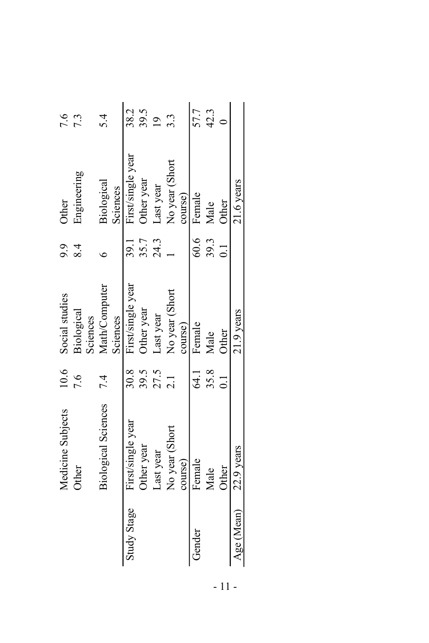|             | Medicine Subjects          | 10.6            | Social studies         | 9.9              | Other             | 9.6              |
|-------------|----------------------------|-----------------|------------------------|------------------|-------------------|------------------|
|             | Other                      | 7.6             | Biological<br>Sciences | 8.4              | Engineering       | $7.\overline{3}$ |
|             | <b>Biological Sciences</b> | 7.4             | Math/Computer          |                  | Biological        | $\dot{z}$        |
|             |                            |                 | Sciences               |                  | Sciences          |                  |
| Study Stage | First/single year          | 30.8            | First/single year      | 39.1             | First/single year | 38.2             |
|             | Other year                 | 39.5            | Other year             | 35.7             | Other year        | $39.5$<br>19     |
|             | Last year                  | $27.5$<br>$2.1$ | Last year              | 24.3             | Last year         |                  |
|             | No year (Short             |                 | No year (Short         |                  | No year (Short    | $\ddot{3}$       |
|             | course)                    |                 | course)                |                  | course)           |                  |
|             | Female                     | દ્ધ <u> </u>    | Female                 |                  | 60.6 Female       | 57.7             |
|             | Male                       | 35.8            | Male                   | 39.3             | Male              | 42.3             |
|             | Other                      | $1\overline{1}$ | Other                  | $\overline{0.1}$ | Other             |                  |
| Age (Mean)  | $22.9$ years               |                 | $21.9$ years           |                  | $21.6$ years      |                  |

- 11 -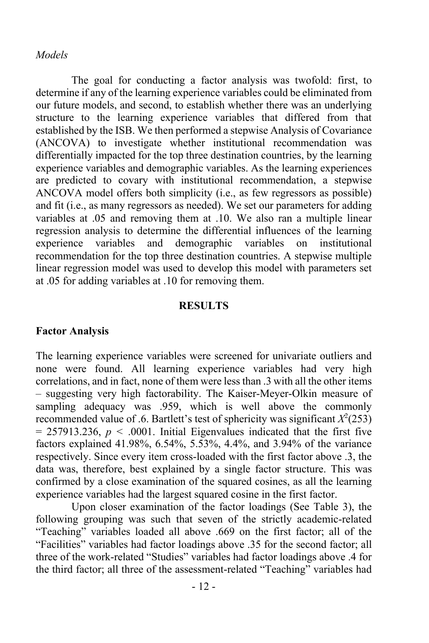### *Models*

The goal for conducting a factor analysis was twofold: first, to determine if any of the learning experience variables could be eliminated from our future models, and second, to establish whether there was an underlying structure to the learning experience variables that differed from that established by the ISB. We then performed a stepwise Analysis of Covariance (ANCOVA) to investigate whether institutional recommendation was differentially impacted for the top three destination countries, by the learning experience variables and demographic variables. As the learning experiences are predicted to covary with institutional recommendation, a stepwise ANCOVA model offers both simplicity (i.e., as few regressors as possible) and fit (i.e., as many regressors as needed). We set our parameters for adding variables at .05 and removing them at .10. We also ran a multiple linear regression analysis to determine the differential influences of the learning experience variables and demographic variables on institutional recommendation for the top three destination countries. A stepwise multiple linear regression model was used to develop this model with parameters set at .05 for adding variables at .10 for removing them.

#### **RESULTS**

## **Factor Analysis**

The learning experience variables were screened for univariate outliers and none were found. All learning experience variables had very high correlations, and in fact, none of them were less than .3 with all the other items – suggesting very high factorability. The Kaiser-Meyer-Olkin measure of sampling adequacy was .959, which is well above the commonly recommended value of .6. Bartlett's test of sphericity was significant  $X^2(253)$  $= 257913.236$ ,  $p < .0001$ . Initial Eigenvalues indicated that the first five factors explained 41.98%, 6.54%, 5.53%, 4.4%, and 3.94% of the variance respectively. Since every item cross-loaded with the first factor above .3, the data was, therefore, best explained by a single factor structure. This was confirmed by a close examination of the squared cosines, as all the learning experience variables had the largest squared cosine in the first factor.

Upon closer examination of the factor loadings (See Table 3), the following grouping was such that seven of the strictly academic-related "Teaching" variables loaded all above .669 on the first factor; all of the "Facilities" variables had factor loadings above .35 for the second factor; all three of the work-related "Studies" variables had factor loadings above .4 for the third factor; all three of the assessment-related "Teaching" variables had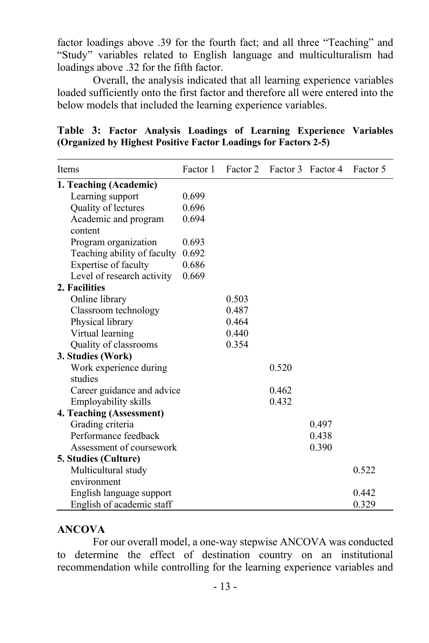factor loadings above .39 for the fourth fact; and all three "Teaching" and "Study" variables related to English language and multiculturalism had loadings above .32 for the fifth factor.

Overall, the analysis indicated that all learning experience variables loaded sufficiently onto the first factor and therefore all were entered into the below models that included the learning experience variables.

|  |  |                                                                 |  | Table 3: Factor Analysis Loadings of Learning Experience Variables |  |
|--|--|-----------------------------------------------------------------|--|--------------------------------------------------------------------|--|
|  |  | (Organized by Highest Positive Factor Loadings for Factors 2-5) |  |                                                                    |  |

| Items                             | Factor 1 | Factor 2 |       | Factor 3 Factor 4 | Factor 5 |
|-----------------------------------|----------|----------|-------|-------------------|----------|
| 1. Teaching (Academic)            |          |          |       |                   |          |
| Learning support                  | 0.699    |          |       |                   |          |
| Quality of lectures               | 0.696    |          |       |                   |          |
| Academic and program<br>content   | 0.694    |          |       |                   |          |
| Program organization              | 0.693    |          |       |                   |          |
| Teaching ability of faculty       | 0.692    |          |       |                   |          |
| Expertise of faculty              | 0.686    |          |       |                   |          |
| Level of research activity        | 0.669    |          |       |                   |          |
| 2. Facilities                     |          |          |       |                   |          |
| Online library                    |          | 0.503    |       |                   |          |
| Classroom technology              |          | 0.487    |       |                   |          |
| Physical library                  |          | 0.464    |       |                   |          |
| Virtual learning                  |          | 0.440    |       |                   |          |
| Quality of classrooms             |          | 0.354    |       |                   |          |
| 3. Studies (Work)                 |          |          |       |                   |          |
| Work experience during<br>studies |          |          | 0.520 |                   |          |
| Career guidance and advice        |          |          | 0.462 |                   |          |
| Employability skills              |          |          | 0.432 |                   |          |
| 4. Teaching (Assessment)          |          |          |       |                   |          |
| Grading criteria                  |          |          |       | 0.497             |          |
| Performance feedback              |          |          |       | 0.438             |          |
| Assessment of coursework          |          |          |       | 0.390             |          |
| 5. Studies (Culture)              |          |          |       |                   |          |
| Multicultural study               |          |          |       |                   | 0.522    |
| environment                       |          |          |       |                   |          |
| English language support          |          |          |       |                   | 0.442    |
| English of academic staff         |          |          |       |                   | 0.329    |

## **ANCOVA**

For our overall model, a one-way stepwise ANCOVA was conducted to determine the effect of destination country on an institutional recommendation while controlling for the learning experience variables and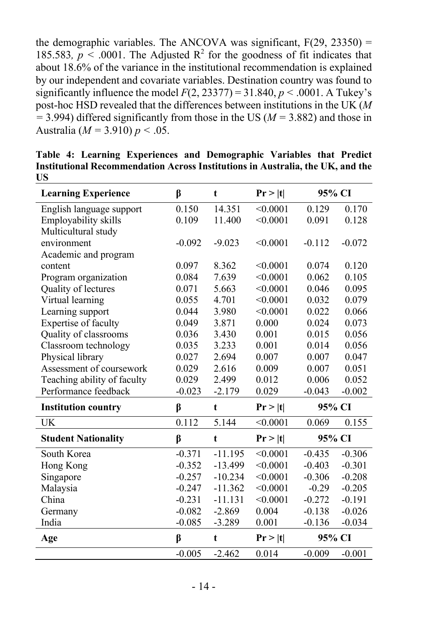the demographic variables. The ANCOVA was significant,  $F(29, 23350) =$ 185.583,  $p < .0001$ . The Adjusted R<sup>2</sup> for the goodness of fit indicates that about 18.6% of the variance in the institutional recommendation is explained by our independent and covariate variables. Destination country was found to significantly influence the model  $F(2, 23377) = 31.840, p < .0001$ . A Tukey's post-hoc HSD revealed that the differences between institutions in the UK (*M*   $=$  3.994) differed significantly from those in the US ( $M = 3.882$ ) and those in Australia (*M =* 3.910) *p <* .05.

| <b>Learning Experience</b>  | β        | t         | Pr >  t  | 95% CI   |          |
|-----------------------------|----------|-----------|----------|----------|----------|
| English language support    | 0.150    | 14.351    | < 0.0001 | 0.129    | 0.170    |
| Employability skills        | 0.109    | 11.400    | < 0.0001 | 0.091    | 0.128    |
| Multicultural study         |          |           |          |          |          |
| environment                 | $-0.092$ | $-9.023$  | < 0.0001 | $-0.112$ | $-0.072$ |
| Academic and program        |          |           |          |          |          |
| content                     | 0.097    | 8.362     | < 0.0001 | 0.074    | 0.120    |
| Program organization        | 0.084    | 7.639     | < 0.0001 | 0.062    | 0.105    |
| Quality of lectures         | 0.071    | 5.663     | < 0.0001 | 0.046    | 0.095    |
| Virtual learning            | 0.055    | 4.701     | < 0.0001 | 0.032    | 0.079    |
| Learning support            | 0.044    | 3.980     | < 0.0001 | 0.022    | 0.066    |
| Expertise of faculty        | 0.049    | 3.871     | 0.000    | 0.024    | 0.073    |
| Quality of classrooms       | 0.036    | 3.430     | 0.001    | 0.015    | 0.056    |
| Classroom technology        | 0.035    | 3.233     | 0.001    | 0.014    | 0.056    |
| Physical library            | 0.027    | 2.694     | 0.007    | 0.007    | 0.047    |
| Assessment of coursework    | 0.029    | 2.616     | 0.009    | 0.007    | 0.051    |
| Teaching ability of faculty | 0.029    | 2.499     | 0.012    | 0.006    | 0.052    |
| Performance feedback        | $-0.023$ | $-2.179$  | 0.029    | $-0.043$ | $-0.002$ |
| <b>Institution country</b>  | β        | t         | Pr >  t  | 95% CI   |          |
| UK                          | 0.112    | 5.144     | < 0.0001 | 0.069    | 0.155    |
| <b>Student Nationality</b>  | β        | t         | Pr >  t  | 95% CI   |          |
| South Korea                 | $-0.371$ | $-11.195$ | < 0.0001 | $-0.435$ | $-0.306$ |
| Hong Kong                   | $-0.352$ | $-13.499$ | < 0.0001 | $-0.403$ | $-0.301$ |
| Singapore                   | $-0.257$ | $-10.234$ | < 0.0001 | $-0.306$ | $-0.208$ |
| Malaysia                    | $-0.247$ | $-11.362$ | < 0.0001 | $-0.29$  | $-0.205$ |
| China                       | $-0.231$ | $-11.131$ | < 0.0001 | $-0.272$ | $-0.191$ |
| Germany                     | $-0.082$ | $-2.869$  | 0.004    | $-0.138$ | $-0.026$ |
| India                       | $-0.085$ | $-3.289$  | 0.001    | $-0.136$ | $-0.034$ |
| Age                         | β        | t         | Pr >  t  | 95% CI   |          |
|                             | $-0.005$ | $-2.462$  | 0.014    | $-0.009$ | $-0.001$ |

**Table 4: Learning Experiences and Demographic Variables that Predict Institutional Recommendation Across Institutions in Australia, the UK, and the US**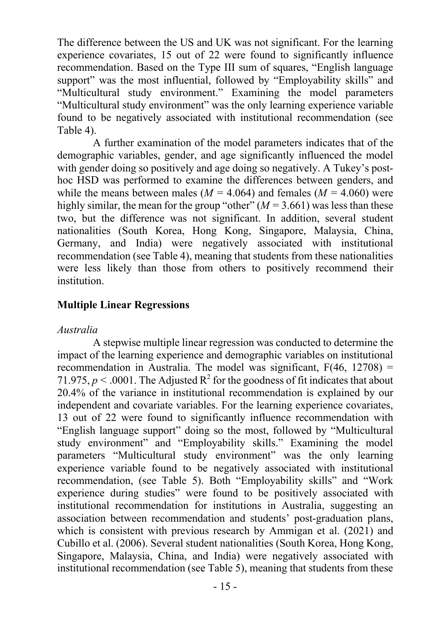The difference between the US and UK was not significant. For the learning experience covariates, 15 out of 22 were found to significantly influence recommendation. Based on the Type III sum of squares, "English language support" was the most influential, followed by "Employability skills" and "Multicultural study environment." Examining the model parameters "Multicultural study environment" was the only learning experience variable found to be negatively associated with institutional recommendation (see Table 4).

A further examination of the model parameters indicates that of the demographic variables, gender, and age significantly influenced the model with gender doing so positively and age doing so negatively. A Tukey's posthoc HSD was performed to examine the differences between genders, and while the means between males ( $M = 4.064$ ) and females ( $M = 4.060$ ) were highly similar, the mean for the group "other" (*M =* 3.661) was less than these two, but the difference was not significant. In addition, several student nationalities (South Korea, Hong Kong, Singapore, Malaysia, China, Germany, and India) were negatively associated with institutional recommendation (see Table 4), meaning that students from these nationalities were less likely than those from others to positively recommend their institution.

## **Multiple Linear Regressions**

### *Australia*

A stepwise multiple linear regression was conducted to determine the impact of the learning experience and demographic variables on institutional recommendation in Australia. The model was significant,  $F(46, 12708) =$ 71.975,  $p < .0001$ . The Adjusted  $R^2$  for the goodness of fit indicates that about 20.4% of the variance in institutional recommendation is explained by our independent and covariate variables. For the learning experience covariates, 13 out of 22 were found to significantly influence recommendation with "English language support" doing so the most, followed by "Multicultural study environment" and "Employability skills." Examining the model parameters "Multicultural study environment" was the only learning experience variable found to be negatively associated with institutional recommendation, (see Table 5). Both "Employability skills" and "Work experience during studies" were found to be positively associated with institutional recommendation for institutions in Australia, suggesting an association between recommendation and students' post-graduation plans, which is consistent with previous research by Ammigan et al. (2021) and Cubillo et al. (2006). Several student nationalities (South Korea, Hong Kong, Singapore, Malaysia, China, and India) were negatively associated with institutional recommendation (see Table 5), meaning that students from these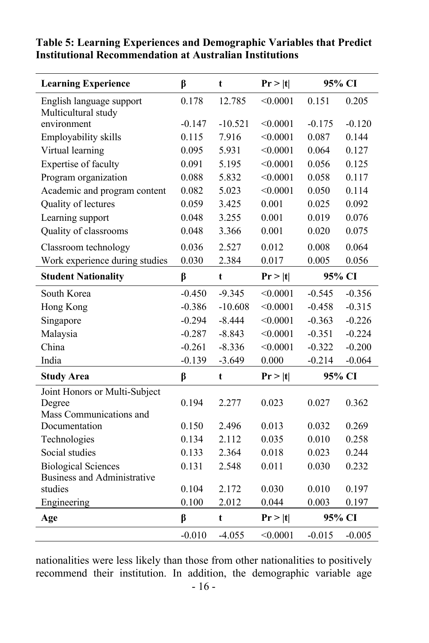| <b>Learning Experience</b>         | β        | t         | Pr >  t  | 95% CI   |          |
|------------------------------------|----------|-----------|----------|----------|----------|
| English language support           | 0.178    | 12.785    | < 0.0001 | 0.151    | 0.205    |
| Multicultural study                |          |           |          |          |          |
| environment                        | $-0.147$ | $-10.521$ | < 0.0001 | $-0.175$ | $-0.120$ |
| Employability skills               | 0.115    | 7.916     | < 0.0001 | 0.087    | 0.144    |
| Virtual learning                   | 0.095    | 5.931     | < 0.0001 | 0.064    | 0.127    |
| Expertise of faculty               | 0.091    | 5.195     | < 0.0001 | 0.056    | 0.125    |
| Program organization               | 0.088    | 5.832     | < 0.0001 | 0.058    | 0.117    |
| Academic and program content       | 0.082    | 5.023     | < 0.0001 | 0.050    | 0.114    |
| Quality of lectures                | 0.059    | 3.425     | 0.001    | 0.025    | 0.092    |
| Learning support                   | 0.048    | 3.255     | 0.001    | 0.019    | 0.076    |
| Quality of classrooms              | 0.048    | 3.366     | 0.001    | 0.020    | 0.075    |
| Classroom technology               | 0.036    | 2.527     | 0.012    | 0.008    | 0.064    |
| Work experience during studies     | 0.030    | 2.384     | 0.017    | 0.005    | 0.056    |
| <b>Student Nationality</b>         | β        | t         | Pr >  t  | 95% CI   |          |
| South Korea                        | $-0.450$ | $-9.345$  | < 0.0001 | $-0.545$ | $-0.356$ |
| Hong Kong                          | $-0.386$ | $-10.608$ | < 0.0001 | $-0.458$ | $-0.315$ |
| Singapore                          | $-0.294$ | $-8.444$  | < 0.0001 | $-0.363$ | $-0.226$ |
| Malaysia                           | $-0.287$ | $-8.843$  | < 0.0001 | $-0.351$ | $-0.224$ |
| China                              | $-0.261$ | $-8.336$  | < 0.0001 | $-0.322$ | $-0.200$ |
| India                              | $-0.139$ | $-3.649$  | 0.000    | $-0.214$ | $-0.064$ |
| <b>Study Area</b>                  | β        | t         | Pr >  t  | 95% CI   |          |
| Joint Honors or Multi-Subject      |          |           |          |          |          |
| Degree                             | 0.194    | 2.277     | 0.023    | 0.027    | 0.362    |
| Mass Communications and            |          |           |          |          |          |
| Documentation                      | 0.150    | 2.496     | 0.013    | 0.032    | 0.269    |
| Technologies                       | 0.134    | 2.112     | 0.035    | 0.010    | 0.258    |
| Social studies                     | 0.133    | 2.364     | 0.018    | 0.023    | 0.244    |
| <b>Biological Sciences</b>         | 0.131    | 2.548     | 0.011    | 0.030    | 0.232    |
| <b>Business and Administrative</b> |          |           |          |          |          |
| studies                            | 0.104    | 2.172     | 0.030    | 0.010    | 0.197    |
| Engineering                        | 0.100    | 2.012     | 0.044    | 0.003    | 0.197    |
| Age                                | β        | t         | Pr >  t  | 95% CI   |          |
|                                    | $-0.010$ | $-4.055$  | < 0.0001 | $-0.015$ | $-0.005$ |

## **Table 5: Learning Experiences and Demographic Variables that Predict Institutional Recommendation at Australian Institutions**

nationalities were less likely than those from other nationalities to positively recommend their institution. In addition, the demographic variable age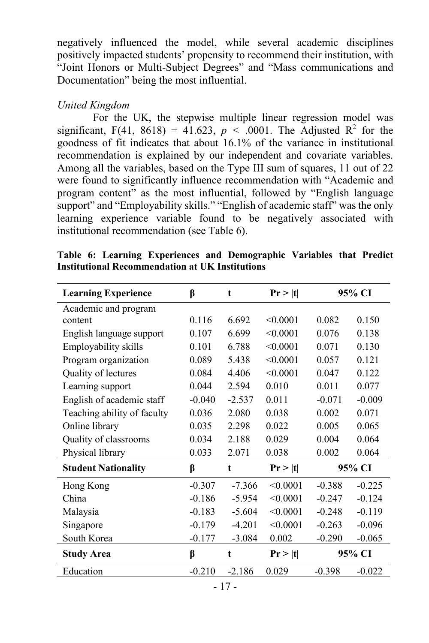negatively influenced the model, while several academic disciplines positively impacted students' propensity to recommend their institution, with "Joint Honors or Multi-Subject Degrees" and "Mass communications and Documentation" being the most influential.

## *United Kingdom*

For the UK, the stepwise multiple linear regression model was significant, F(41, 8618) = 41.623,  $p < .0001$ . The Adjusted R<sup>2</sup> for the goodness of fit indicates that about 16.1% of the variance in institutional recommendation is explained by our independent and covariate variables. Among all the variables, based on the Type III sum of squares, 11 out of 22 were found to significantly influence recommendation with "Academic and program content" as the most influential, followed by "English language support" and "Employability skills." "English of academic staff" was the only learning experience variable found to be negatively associated with institutional recommendation (see Table 6).

| Table 6: Learning Experiences and Demographic Variables that Predict |  |  |  |  |  |  |  |  |  |  |
|----------------------------------------------------------------------|--|--|--|--|--|--|--|--|--|--|
| Institutional Recommendation at UK Institutions                      |  |  |  |  |  |  |  |  |  |  |
|                                                                      |  |  |  |  |  |  |  |  |  |  |

| <b>Learning Experience</b>  | β        | t        | Pr >  t  |          | 95% CI   |
|-----------------------------|----------|----------|----------|----------|----------|
| Academic and program        |          |          |          |          |          |
| content                     | 0.116    | 6.692    | < 0.0001 | 0.082    | 0.150    |
| English language support    | 0.107    | 6.699    | < 0.0001 | 0.076    | 0.138    |
| Employability skills        | 0.101    | 6.788    | < 0.0001 | 0.071    | 0.130    |
| Program organization        | 0.089    | 5.438    | < 0.0001 | 0.057    | 0.121    |
| Quality of lectures         | 0.084    | 4.406    | < 0.0001 | 0.047    | 0.122    |
| Learning support            | 0.044    | 2.594    | 0.010    | 0.011    | 0.077    |
| English of academic staff   | $-0.040$ | $-2.537$ | 0.011    | $-0.071$ | $-0.009$ |
| Teaching ability of faculty | 0.036    | 2.080    | 0.038    | 0.002    | 0.071    |
| Online library              | 0.035    | 2.298    | 0.022    | 0.005    | 0.065    |
| Quality of classrooms       | 0.034    | 2.188    | 0.029    | 0.004    | 0.064    |
| Physical library            | 0.033    | 2.071    | 0.038    | 0.002    | 0.064    |
| <b>Student Nationality</b>  | β        | t        | Pr >  t  |          | 95% CI   |
| Hong Kong                   | $-0.307$ | $-7.366$ | < 0.0001 | $-0.388$ | $-0.225$ |
| China                       | $-0.186$ | $-5.954$ | < 0.0001 | $-0.247$ | $-0.124$ |
| Malaysia                    | $-0.183$ | $-5.604$ | < 0.0001 | $-0.248$ | $-0.119$ |
| Singapore                   | $-0.179$ | $-4.201$ | < 0.0001 | $-0.263$ | $-0.096$ |
| South Korea                 | $-0.177$ | $-3.084$ | 0.002    | $-0.290$ | $-0.065$ |
| <b>Study Area</b>           | β        | t        | Pr >  t  |          | 95% CI   |
| Education                   | $-0.210$ | $-2.186$ | 0.029    | $-0.398$ | $-0.022$ |
|                             |          | - 17 -   |          |          |          |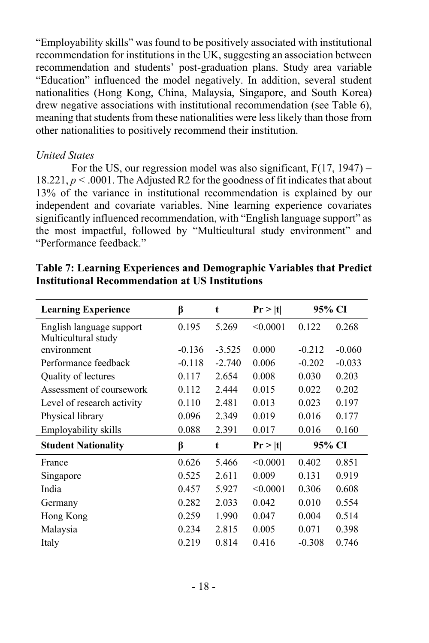"Employability skills" was found to be positively associated with institutional recommendation for institutions in the UK, suggesting an association between recommendation and students' post-graduation plans. Study area variable "Education" influenced the model negatively. In addition, several student nationalities (Hong Kong, China, Malaysia, Singapore, and South Korea) drew negative associations with institutional recommendation (see Table 6), meaning that students from these nationalities were less likely than those from other nationalities to positively recommend their institution.

## *United States*

For the US, our regression model was also significant,  $F(17, 1947) =$ 18.221,  $p < .0001$ . The Adjusted R2 for the goodness of fit indicates that about 13% of the variance in institutional recommendation is explained by our independent and covariate variables. Nine learning experience covariates significantly influenced recommendation, with "English language support" as the most impactful, followed by "Multicultural study environment" and "Performance feedback."

| <b>Learning Experience</b>                      | β        | t        | Pr >  t  | 95% CI   |          |
|-------------------------------------------------|----------|----------|----------|----------|----------|
| English language support<br>Multicultural study | 0.195    | 5.269    | < 0.0001 | 0.122    | 0.268    |
| environment                                     | $-0.136$ | $-3.525$ | 0.000    | $-0.212$ | $-0.060$ |
| Performance feedback                            | $-0.118$ | $-2.740$ | 0.006    | $-0.202$ | $-0.033$ |
| Quality of lectures                             | 0.117    | 2.654    | 0.008    | 0.030    | 0.203    |
| Assessment of coursework                        | 0.112    | 2.444    | 0.015    | 0.022    | 0.202    |
| Level of research activity                      | 0.110    | 2.481    | 0.013    | 0.023    | 0.197    |
| Physical library                                | 0.096    | 2.349    | 0.019    | 0.016    | 0.177    |
| Employability skills                            | 0.088    | 2.391    | 0.017    | 0.016    | 0.160    |
| <b>Student Nationality</b>                      | β        | t        | Pr >  t  | 95% CI   |          |
| France                                          | 0.626    | 5.466    | < 0.0001 | 0.402    | 0.851    |
| Singapore                                       | 0.525    | 2.611    | 0.009    | 0.131    | 0.919    |
| India                                           | 0.457    | 5.927    | < 0.0001 | 0.306    | 0.608    |
| Germany                                         | 0.282    | 2.033    | 0.042    | 0.010    | 0.554    |
| Hong Kong                                       | 0.259    | 1.990    | 0.047    | 0.004    | 0.514    |
| Malaysia                                        | 0.234    | 2.815    | 0.005    | 0.071    | 0.398    |
| Italy                                           | 0.219    | 0.814    | 0.416    | $-0.308$ | 0.746    |

| Table 7: Learning Experiences and Demographic Variables that Predict |  |
|----------------------------------------------------------------------|--|
| <b>Institutional Recommendation at US Institutions</b>               |  |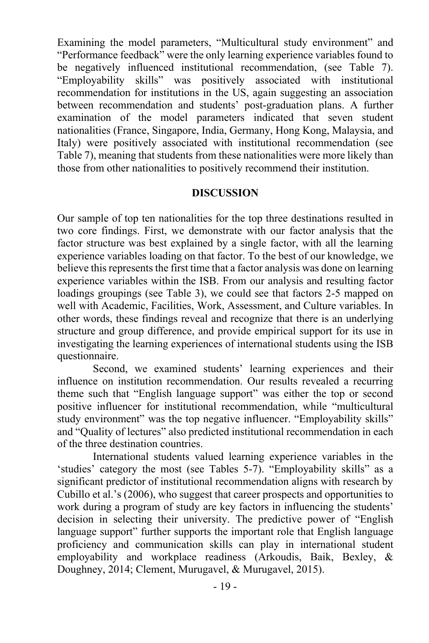Examining the model parameters, "Multicultural study environment" and "Performance feedback" were the only learning experience variables found to be negatively influenced institutional recommendation, (see Table 7). "Employability skills" was positively associated with institutional recommendation for institutions in the US, again suggesting an association between recommendation and students' post-graduation plans. A further examination of the model parameters indicated that seven student nationalities (France, Singapore, India, Germany, Hong Kong, Malaysia, and Italy) were positively associated with institutional recommendation (see Table 7), meaning that students from these nationalities were more likely than those from other nationalities to positively recommend their institution.

### **DISCUSSION**

Our sample of top ten nationalities for the top three destinations resulted in two core findings. First, we demonstrate with our factor analysis that the factor structure was best explained by a single factor, with all the learning experience variables loading on that factor. To the best of our knowledge, we believe this represents the first time that a factor analysis was done on learning experience variables within the ISB. From our analysis and resulting factor loadings groupings (see Table 3), we could see that factors 2-5 mapped on well with Academic, Facilities, Work, Assessment, and Culture variables. In other words, these findings reveal and recognize that there is an underlying structure and group difference, and provide empirical support for its use in investigating the learning experiences of international students using the ISB questionnaire.

Second, we examined students' learning experiences and their influence on institution recommendation. Our results revealed a recurring theme such that "English language support" was either the top or second positive influencer for institutional recommendation, while "multicultural study environment" was the top negative influencer. "Employability skills" and "Quality of lectures" also predicted institutional recommendation in each of the three destination countries.

International students valued learning experience variables in the 'studies' category the most (see Tables 5-7). "Employability skills" as a significant predictor of institutional recommendation aligns with research by Cubillo et al.'s (2006), who suggest that career prospects and opportunities to work during a program of study are key factors in influencing the students' decision in selecting their university. The predictive power of "English language support" further supports the important role that English language proficiency and communication skills can play in international student employability and workplace readiness (Arkoudis, Baik, Bexley, & Doughney, 2014; Clement, Murugavel, & Murugavel, 2015).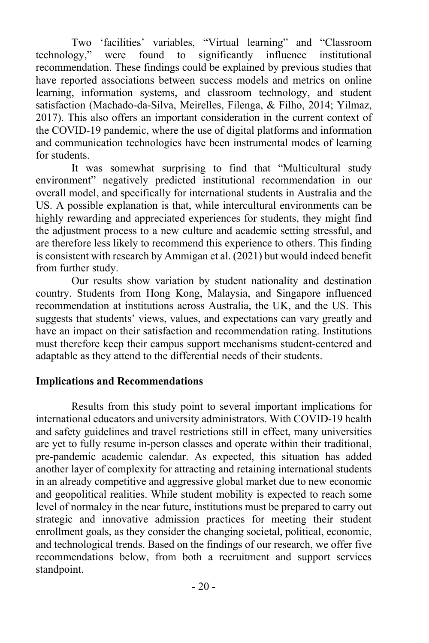Two 'facilities' variables, "Virtual learning" and "Classroom technology," were found to significantly influence institutional recommendation. These findings could be explained by previous studies that have reported associations between success models and metrics on online learning, information systems, and classroom technology, and student satisfaction (Machado-da-Silva, Meirelles, Filenga, & Filho, 2014; Yilmaz, 2017). This also offers an important consideration in the current context of the COVID-19 pandemic, where the use of digital platforms and information and communication technologies have been instrumental modes of learning for students.

It was somewhat surprising to find that "Multicultural study environment" negatively predicted institutional recommendation in our overall model, and specifically for international students in Australia and the US. A possible explanation is that, while intercultural environments can be highly rewarding and appreciated experiences for students, they might find the adjustment process to a new culture and academic setting stressful, and are therefore less likely to recommend this experience to others. This finding is consistent with research by Ammigan et al. (2021) but would indeed benefit from further study.

Our results show variation by student nationality and destination country. Students from Hong Kong, Malaysia, and Singapore influenced recommendation at institutions across Australia, the UK, and the US. This suggests that students' views, values, and expectations can vary greatly and have an impact on their satisfaction and recommendation rating. Institutions must therefore keep their campus support mechanisms student-centered and adaptable as they attend to the differential needs of their students.

## **Implications and Recommendations**

Results from this study point to several important implications for international educators and university administrators. With COVID-19 health and safety guidelines and travel restrictions still in effect, many universities are yet to fully resume in-person classes and operate within their traditional, pre-pandemic academic calendar. As expected, this situation has added another layer of complexity for attracting and retaining international students in an already competitive and aggressive global market due to new economic and geopolitical realities. While student mobility is expected to reach some level of normalcy in the near future, institutions must be prepared to carry out strategic and innovative admission practices for meeting their student enrollment goals, as they consider the changing societal, political, economic, and technological trends. Based on the findings of our research, we offer five recommendations below, from both a recruitment and support services standpoint.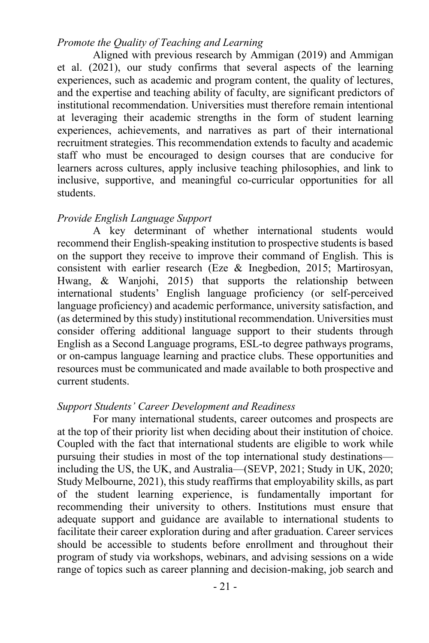## *Promote the Quality of Teaching and Learning*

Aligned with previous research by Ammigan (2019) and Ammigan et al. (2021), our study confirms that several aspects of the learning experiences, such as academic and program content, the quality of lectures, and the expertise and teaching ability of faculty, are significant predictors of institutional recommendation. Universities must therefore remain intentional at leveraging their academic strengths in the form of student learning experiences, achievements, and narratives as part of their international recruitment strategies. This recommendation extends to faculty and academic staff who must be encouraged to design courses that are conducive for learners across cultures, apply inclusive teaching philosophies, and link to inclusive, supportive, and meaningful co-curricular opportunities for all students.

## *Provide English Language Support*

A key determinant of whether international students would recommend their English-speaking institution to prospective students is based on the support they receive to improve their command of English. This is consistent with earlier research (Eze & Inegbedion, 2015; Martirosyan, Hwang, & Wanjohi, 2015) that supports the relationship between international students' English language proficiency (or self-perceived language proficiency) and academic performance, university satisfaction, and (as determined by this study) institutional recommendation. Universities must consider offering additional language support to their students through English as a Second Language programs, ESL-to degree pathways programs, or on-campus language learning and practice clubs. These opportunities and resources must be communicated and made available to both prospective and current students.

### *Support Students' Career Development and Readiness*

For many international students, career outcomes and prospects are at the top of their priority list when deciding about their institution of choice. Coupled with the fact that international students are eligible to work while pursuing their studies in most of the top international study destinations including the US, the UK, and Australia—(SEVP, 2021; Study in UK, 2020; Study Melbourne, 2021), this study reaffirms that employability skills, as part of the student learning experience, is fundamentally important for recommending their university to others. Institutions must ensure that adequate support and guidance are available to international students to facilitate their career exploration during and after graduation. Career services should be accessible to students before enrollment and throughout their program of study via workshops, webinars, and advising sessions on a wide range of topics such as career planning and decision-making, job search and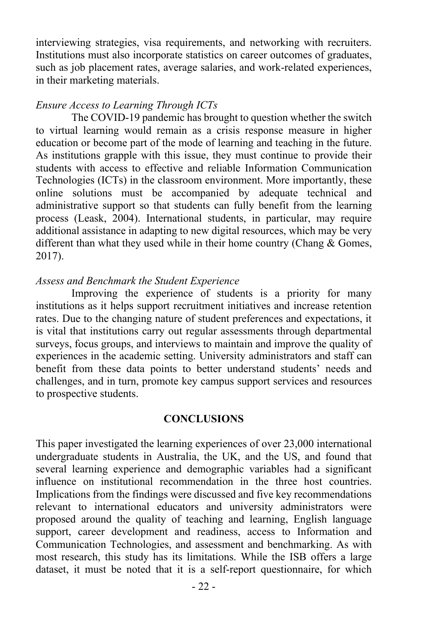interviewing strategies, visa requirements, and networking with recruiters. Institutions must also incorporate statistics on career outcomes of graduates, such as job placement rates, average salaries, and work-related experiences, in their marketing materials.

### *Ensure Access to Learning Through ICTs*

The COVID-19 pandemic has brought to question whether the switch to virtual learning would remain as a crisis response measure in higher education or become part of the mode of learning and teaching in the future. As institutions grapple with this issue, they must continue to provide their students with access to effective and reliable Information Communication Technologies (ICTs) in the classroom environment. More importantly, these online solutions must be accompanied by adequate technical and administrative support so that students can fully benefit from the learning process (Leask, 2004). International students, in particular, may require additional assistance in adapting to new digital resources, which may be very different than what they used while in their home country (Chang & Gomes, 2017).

#### *Assess and Benchmark the Student Experience*

Improving the experience of students is a priority for many institutions as it helps support recruitment initiatives and increase retention rates. Due to the changing nature of student preferences and expectations, it is vital that institutions carry out regular assessments through departmental surveys, focus groups, and interviews to maintain and improve the quality of experiences in the academic setting. University administrators and staff can benefit from these data points to better understand students' needs and challenges, and in turn, promote key campus support services and resources to prospective students.

#### **CONCLUSIONS**

This paper investigated the learning experiences of over 23,000 international undergraduate students in Australia, the UK, and the US, and found that several learning experience and demographic variables had a significant influence on institutional recommendation in the three host countries. Implications from the findings were discussed and five key recommendations relevant to international educators and university administrators were proposed around the quality of teaching and learning, English language support, career development and readiness, access to Information and Communication Technologies, and assessment and benchmarking. As with most research, this study has its limitations. While the ISB offers a large dataset, it must be noted that it is a self-report questionnaire, for which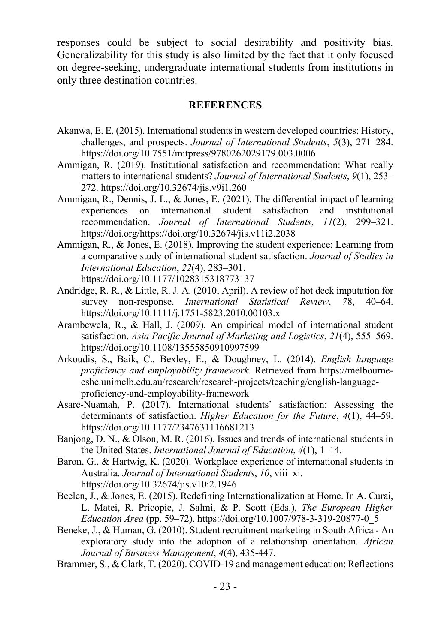responses could be subject to social desirability and positivity bias. Generalizability for this study is also limited by the fact that it only focused on degree-seeking, undergraduate international students from institutions in only three destination countries.

#### **REFERENCES**

- Akanwa, E. E. (2015). International students in western developed countries: History, challenges, and prospects. *Journal of International Students*, *5*(3), 271–284. https://doi.org/10.7551/mitpress/9780262029179.003.0006
- Ammigan, R. (2019). Institutional satisfaction and recommendation: What really matters to international students? *Journal of International Students*, *9*(1), 253– 272. https://doi.org/10.32674/jis.v9i1.260
- Ammigan, R., Dennis, J. L., & Jones, E. (2021). The differential impact of learning experiences on international student satisfaction and institutional recommendation. *Journal of International Students*, *11*(2), 299–321. https://doi.org/https://doi.org/10.32674/jis.v11i2.2038
- Ammigan, R., & Jones, E. (2018). Improving the student experience: Learning from a comparative study of international student satisfaction. *Journal of Studies in International Education*, *22*(4), 283–301. https://doi.org/10.1177/1028315318773137
- Andridge, R. R., & Little, R. J. A. (2010, April). A review of hot deck imputation for survey non-response. *International Statistical Review*, *7*8, 40–64. https://doi.org/10.1111/j.1751-5823.2010.00103.x
- Arambewela, R., & Hall, J. (2009). An empirical model of international student satisfaction. *Asia Pacific Journal of Marketing and Logistics*, *21*(4), 555–569. https://doi.org/10.1108/13555850910997599
- Arkoudis, S., Baik, C., Bexley, E., & Doughney, L. (2014). *English language proficiency and employability framework*. Retrieved from https://melbournecshe.unimelb.edu.au/research/research-projects/teaching/english-languageproficiency-and-employability-framework
- Asare-Nuamah, P. (2017). International students' satisfaction: Assessing the determinants of satisfaction. *Higher Education for the Future*, *4*(1), 44–59. https://doi.org/10.1177/2347631116681213
- Banjong, D. N., & Olson, M. R. (2016). Issues and trends of international students in the United States. *International Journal of Education*, *4*(1), 1–14.
- Baron, G., & Hartwig, K. (2020). Workplace experience of international students in Australia. *Journal of International Students*, *10*, viii–xi. https://doi.org/10.32674/jis.v10i2.1946
- Beelen, J., & Jones, E. (2015). Redefining Internationalization at Home. In A. Curai, L. Matei, R. Pricopie, J. Salmi, & P. Scott (Eds.), *The European Higher Education Area* (pp. 59–72). https://doi.org/10.1007/978-3-319-20877-0\_5
- Beneke, J., & Human, G. (2010). Student recruitment marketing in South Africa An exploratory study into the adoption of a relationship orientation. *African Journal of Business Management*, *4*(4), 435-447.
- Brammer, S., & Clark, T. (2020). COVID-19 and management education: Reflections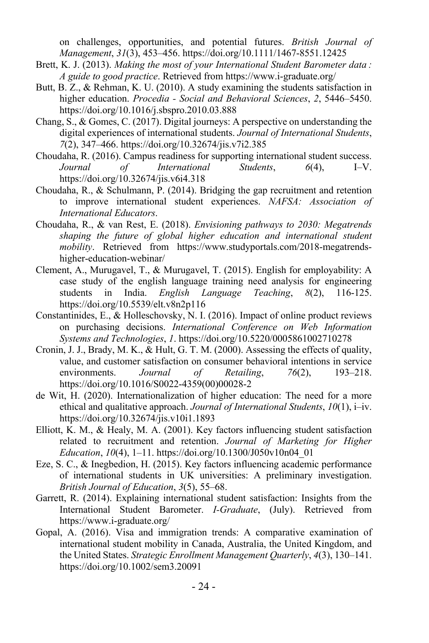on challenges, opportunities, and potential futures. *British Journal of Management*, *31*(3), 453–456. https://doi.org/10.1111/1467-8551.12425

- Brett, K. J. (2013). *Making the most of your International Student Barometer data : A guide to good practice*. Retrieved from https://www.i-graduate.org/
- Butt, B. Z., & Rehman, K. U. (2010). A study examining the students satisfaction in higher education. *Procedia - Social and Behavioral Sciences*, *2*, 5446–5450. https://doi.org/10.1016/j.sbspro.2010.03.888
- Chang, S., & Gomes, C. (2017). Digital journeys: A perspective on understanding the digital experiences of international students. *Journal of International Students*, *7*(2), 347–466. https://doi.org/10.32674/jis.v7i2.385
- Choudaha, R. (2016). Campus readiness for supporting international student success. *Journal of International Students*, *6*(4), I–V. https://doi.org/10.32674/jis.v6i4.318
- Choudaha, R., & Schulmann, P. (2014). Bridging the gap recruitment and retention to improve international student experiences. *NAFSA: Association of International Educators*.
- Choudaha, R., & van Rest, E. (2018). *Envisioning pathways to 2030: Megatrends shaping the future of global higher education and international student mobility*. Retrieved from https://www.studyportals.com/2018-megatrendshigher-education-webinar/
- Clement, A., Murugavel, T., & Murugavel, T. (2015). English for employability: A case study of the english language training need analysis for engineering students in India. *English Language Teaching*, *8*(2), 116-125. https://doi.org/10.5539/elt.v8n2p116
- Constantinides, E., & Holleschovsky, N. I. (2016). Impact of online product reviews on purchasing decisions. *International Conference on Web Information Systems and Technologies*, *1*. https://doi.org/10.5220/0005861002710278
- Cronin, J. J., Brady, M. K., & Hult, G. T. M. (2000). Assessing the effects of quality, value, and customer satisfaction on consumer behavioral intentions in service environments. *Journal of Retailing*, *76*(2), 193–218. https://doi.org/10.1016/S0022-4359(00)00028-2
- de Wit, H. (2020). Internationalization of higher education: The need for a more ethical and qualitative approach. *Journal of International Students*, *10*(1), i–iv. https://doi.org/10.32674/jis.v10i1.1893
- Elliott, K. M., & Healy, M. A. (2001). Key factors influencing student satisfaction related to recruitment and retention. *Journal of Marketing for Higher Education*, *10*(4), 1–11. https://doi.org/10.1300/J050v10n04\_01
- Eze, S. C., & Inegbedion, H. (2015). Key factors influencing academic performance of international students in UK universities: A preliminary investigation. *British Journal of Education*, *3*(5), 55–68.
- Garrett, R. (2014). Explaining international student satisfaction: Insights from the International Student Barometer. *I-Graduate*, (July). Retrieved from https://www.i-graduate.org/
- Gopal, A. (2016). Visa and immigration trends: A comparative examination of international student mobility in Canada, Australia, the United Kingdom, and the United States. *Strategic Enrollment Management Quarterly*, *4*(3), 130–141. https://doi.org/10.1002/sem3.20091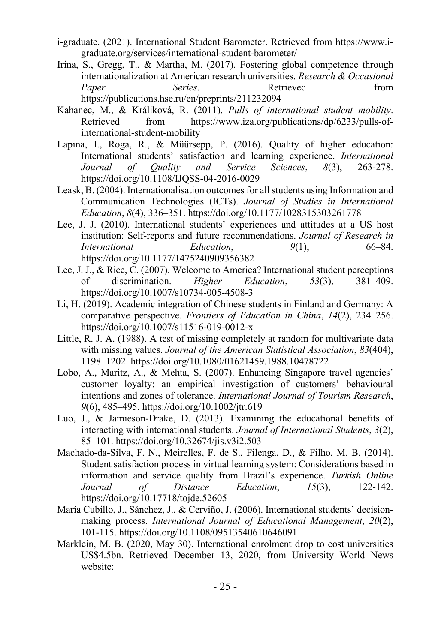- i-graduate. (2021). International Student Barometer. Retrieved from https://www.igraduate.org/services/international-student-barometer/
- Irina, S., Gregg, T., & Martha, M. (2017). Fostering global competence through internationalization at American research universities. *Research & Occasional Paper Series*. Retrieved from https://publications.hse.ru/en/preprints/211232094
- Kahanec, M., & Králiková, R. (2011). *Pulls of international student mobility*. Retrieved from https://www.iza.org/publications/dp/6233/pulls-ofinternational-student-mobility
- Lapina, I., Roga, R., & Müürsepp, P. (2016). Quality of higher education: International students' satisfaction and learning experience. *International Journal of Quality and Service Sciences*, *8*(3), 263-278. https://doi.org/10.1108/IJQSS-04-2016-0029
- Leask, B. (2004). Internationalisation outcomes for all students using Information and Communication Technologies (ICTs). *Journal of Studies in International Education*, *8*(4), 336–351. https://doi.org/10.1177/1028315303261778
- Lee, J. J. (2010). International students' experiences and attitudes at a US host institution: Self-reports and future recommendations. *Journal of Research in International Education*, 9(1), 66–84. https://doi.org/10.1177/1475240909356382
- Lee, J. J., & Rice, C. (2007). Welcome to America? International student perceptions of discrimination. *Higher Education*, *53*(3), 381–409. https://doi.org/10.1007/s10734-005-4508-3
- Li, H. (2019). Academic integration of Chinese students in Finland and Germany: A comparative perspective. *Frontiers of Education in China*, *14*(2), 234–256. https://doi.org/10.1007/s11516-019-0012-x
- Little, R. J. A. (1988). A test of missing completely at random for multivariate data with missing values. *Journal of the American Statistical Association*, *83*(404), 1198–1202. https://doi.org/10.1080/01621459.1988.10478722
- Lobo, A., Maritz, A., & Mehta, S. (2007). Enhancing Singapore travel agencies' customer loyalty: an empirical investigation of customers' behavioural intentions and zones of tolerance. *International Journal of Tourism Research*, *9*(6), 485–495. https://doi.org/10.1002/jtr.619
- Luo, J., & Jamieson-Drake, D. (2013). Examining the educational benefits of interacting with international students. *Journal of International Students*, *3*(2), 85–101. https://doi.org/10.32674/jis.v3i2.503
- Machado-da-Silva, F. N., Meirelles, F. de S., Filenga, D., & Filho, M. B. (2014). Student satisfaction process in virtual learning system: Considerations based in information and service quality from Brazil's experience. *Turkish Online Journal of Distance Education*, *15*(3), 122-142. https://doi.org/10.17718/tojde.52605
- María Cubillo, J., Sánchez, J., & Cerviño, J. (2006). International students' decisionmaking process. *International Journal of Educational Management*, *20*(2), 101-115. https://doi.org/10.1108/09513540610646091
- Marklein, M. B. (2020, May 30). International enrolment drop to cost universities US\$4.5bn. Retrieved December 13, 2020, from University World News website: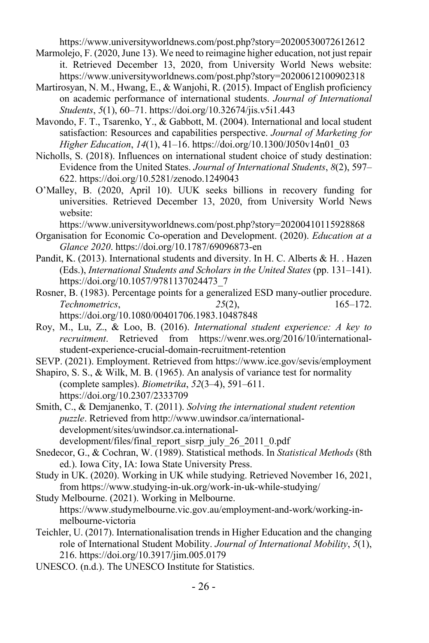https://www.universityworldnews.com/post.php?story=20200530072612612

- Marmolejo, F. (2020, June 13). We need to reimagine higher education, not just repair it. Retrieved December 13, 2020, from University World News website: https://www.universityworldnews.com/post.php?story=20200612100902318
- Martirosyan, N. M., Hwang, E., & Wanjohi, R. (2015). Impact of English proficiency on academic performance of international students. *Journal of International Students*, *5*(1), 60–71. https://doi.org/10.32674/jis.v5i1.443
- Mavondo, F. T., Tsarenko, Y., & Gabbott, M. (2004). International and local student satisfaction: Resources and capabilities perspective. *Journal of Marketing for Higher Education*, *14*(1), 41–16. https://doi.org/10.1300/J050v14n01\_03
- Nicholls, S. (2018). Influences on international student choice of study destination: Evidence from the United States. *Journal of International Students*, *8*(2), 597– 622. https://doi.org/10.5281/zenodo.1249043
- O'Malley, B. (2020, April 10). UUK seeks billions in recovery funding for universities. Retrieved December 13, 2020, from University World News website:

https://www.universityworldnews.com/post.php?story=20200410115928868

- Organisation for Economic Co-operation and Development. (2020). *Education at a Glance 2020*. https://doi.org/10.1787/69096873-en
- Pandit, K. (2013). International students and diversity. In H. C. Alberts & H. . Hazen (Eds.), *International Students and Scholars in the United States* (pp. 131–141). https://doi.org/10.1057/9781137024473\_7
- Rosner, B. (1983). Percentage points for a generalized ESD many-outlier procedure. *Technometrics*, *25*(2), 165–172. https://doi.org/10.1080/00401706.1983.10487848
- Roy, M., Lu, Z., & Loo, B. (2016). *International student experience: A key to recruitment*. Retrieved from https://wenr.wes.org/2016/10/internationalstudent-experience-crucial-domain-recruitment-retention
- SEVP. (2021). Employment. Retrieved from https://www.ice.gov/sevis/employment
- Shapiro, S. S., & Wilk, M. B. (1965). An analysis of variance test for normality (complete samples). *Biometrika*, *52*(3–4), 591–611. https://doi.org/10.2307/2333709
- Smith, C., & Demjanenko, T. (2011). *Solving the international student retention puzzle*. Retrieved from http://www.uwindsor.ca/internationaldevelopment/sites/uwindsor.ca.internationaldevelopment/files/final\_report\_sisrp\_july\_26\_2011\_0.pdf
- Snedecor, G., & Cochran, W. (1989). Statistical methods. In *Statistical Methods* (8th ed.). Iowa City, IA: Iowa State University Press.
- Study in UK. (2020). Working in UK while studying. Retrieved November 16, 2021, from https://www.studying-in-uk.org/work-in-uk-while-studying/
- Study Melbourne. (2021). Working in Melbourne. https://www.studymelbourne.vic.gov.au/employment-and-work/working-inmelbourne-victoria
- Teichler, U. (2017). Internationalisation trends in Higher Education and the changing role of International Student Mobility. *Journal of International Mobility*, *5*(1), 216. https://doi.org/10.3917/jim.005.0179
- UNESCO. (n.d.). The UNESCO Institute for Statistics.